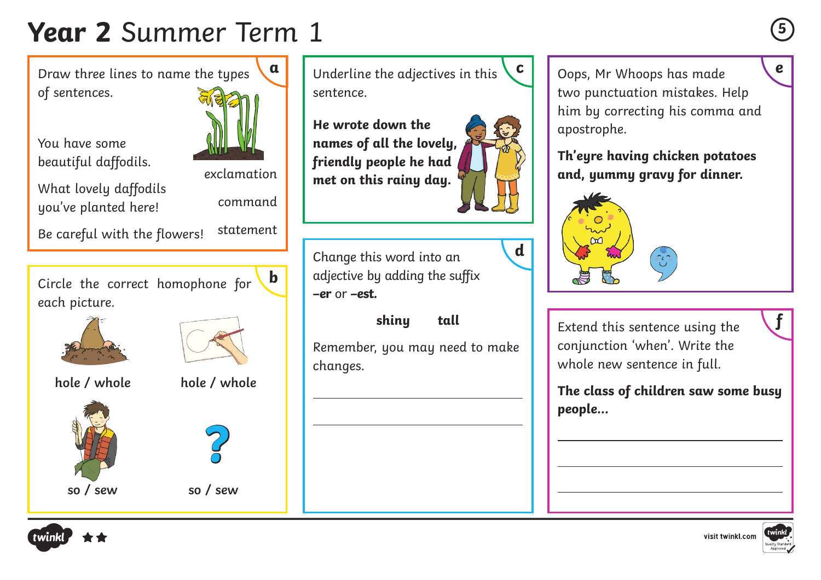## **Year 2** Summer Term 1 **<sup>5</sup>**

Draw three lines to name the types of sentences.

You have some beautiful daffodils.





exclamation command

Be careful with the flowers! statement

Circle the correct homophone for each picture. **b**





**hole / whole hole / whole**





**?**

 $\overline{a}$ 

 $\overline{a}$ 

**a** Underline the adjectives in this  $\begin{bmatrix} c \\ \end{bmatrix}$  Oops, Mr Whoops has made sentence.

**He wrote down the names of all the lovely, friendly people he had met on this rainy day.**



**d**

Change this word into an adjective by adding the suffix **–er** or **–est.** 

## **shiny tall**

Remember, you may need to make changes.

Oops, Mr Whoops has made two punctuation mistakes. Help him by correcting his comma and apostrophe.

**Th'eyre having chicken potatoes and, yummy gravy for dinner.**



 $\overline{a}$ 

 $\overline{a}$ 

 $\overline{a}$ 

Extend this sentence using the

conjunction 'when'. Write the whole new sentence in full.

**The class of children saw some busy people...**





**f**

visit twinkl.com